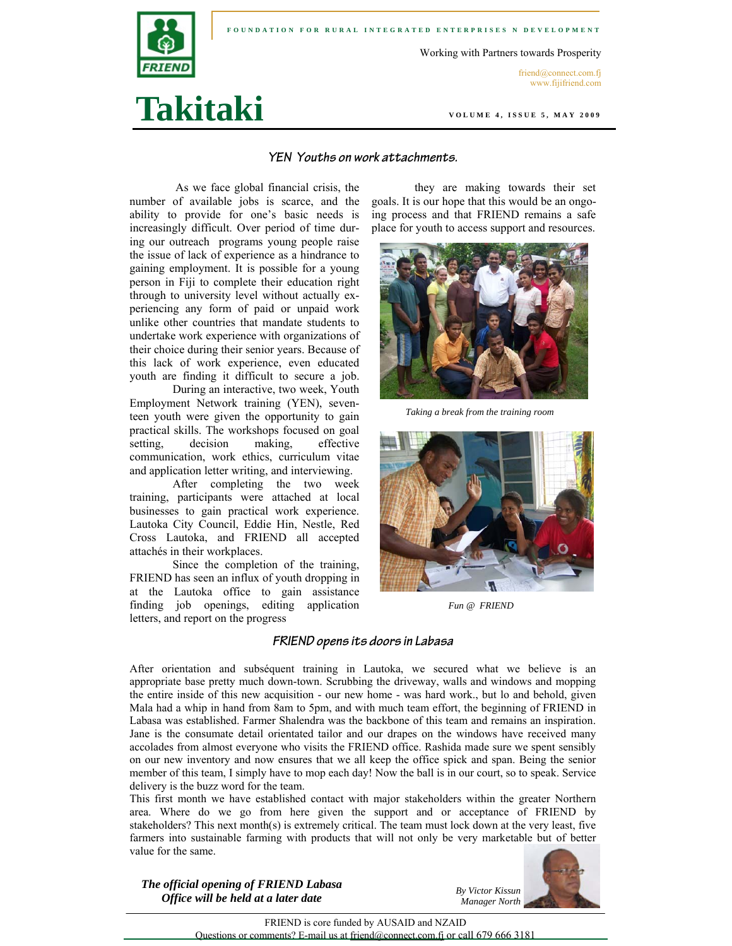

**Takitaki** 

Working with Partners towards Prosperity

friend@connect.com.fj www.fijifriend.com

**VOLUME 4, ISSUE 5, MAY 2009** 

### **YEN Youths on work attachments.**

As we face global financial crisis, the number of available jobs is scarce, and the ability to provide for one's basic needs is increasingly difficult. Over period of time during our outreach programs young people raise the issue of lack of experience as a hindrance to gaining employment. It is possible for a young person in Fiji to complete their education right through to university level without actually experiencing any form of paid or unpaid work unlike other countries that mandate students to undertake work experience with organizations of their choice during their senior years. Because of this lack of work experience, even educated youth are finding it difficult to secure a job.

 During an interactive, two week, Youth Employment Network training (YEN), seventeen youth were given the opportunity to gain practical skills. The workshops focused on goal setting, decision making, effective communication, work ethics, curriculum vitae and application letter writing, and interviewing.

After completing the two week training, participants were attached at local businesses to gain practical work experience. Lautoka City Council, Eddie Hin, Nestle, Red Cross Lautoka, and FRIEND all accepted attachés in their workplaces.

Since the completion of the training, FRIEND has seen an influx of youth dropping in at the Lautoka office to gain assistance finding job openings, editing application letters, and report on the progress

they are making towards their set goals. It is our hope that this would be an ongoing process and that FRIEND remains a safe place for youth to access support and resources.



*Taking a break from the training room* 



*Fun @ FRIEND* 

### **FRIEND opens its doors in Labasa**

After orientation and subséquent training in Lautoka, we secured what we believe is an appropriate base pretty much down-town. Scrubbing the driveway, walls and windows and mopping the entire inside of this new acquisition - our new home - was hard work., but lo and behold, given Mala had a whip in hand from 8am to 5pm, and with much team effort, the beginning of FRIEND in Labasa was established. Farmer Shalendra was the backbone of this team and remains an inspiration. Jane is the consumate detail orientated tailor and our drapes on the windows have received many accolades from almost everyone who visits the FRIEND office. Rashida made sure we spent sensibly on our new inventory and now ensures that we all keep the office spick and span. Being the senior member of this team, I simply have to mop each day! Now the ball is in our court, so to speak. Service delivery is the buzz word for the team.

This first month we have established contact with major stakeholders within the greater Northern area. Where do we go from here given the support and or acceptance of FRIEND by stakeholders? This next month(s) is extremely critical. The team must lock down at the very least, five farmers into sustainable farming with products that will not only be very marketable but of better value for the same.

*The official opening of FRIEND Labasa Office will be held at a later date* 



FRIEND is core funded by AUSAID and NZAID Questions or comments? E-mail us at friend@connect.com.fj or call 679 666 3181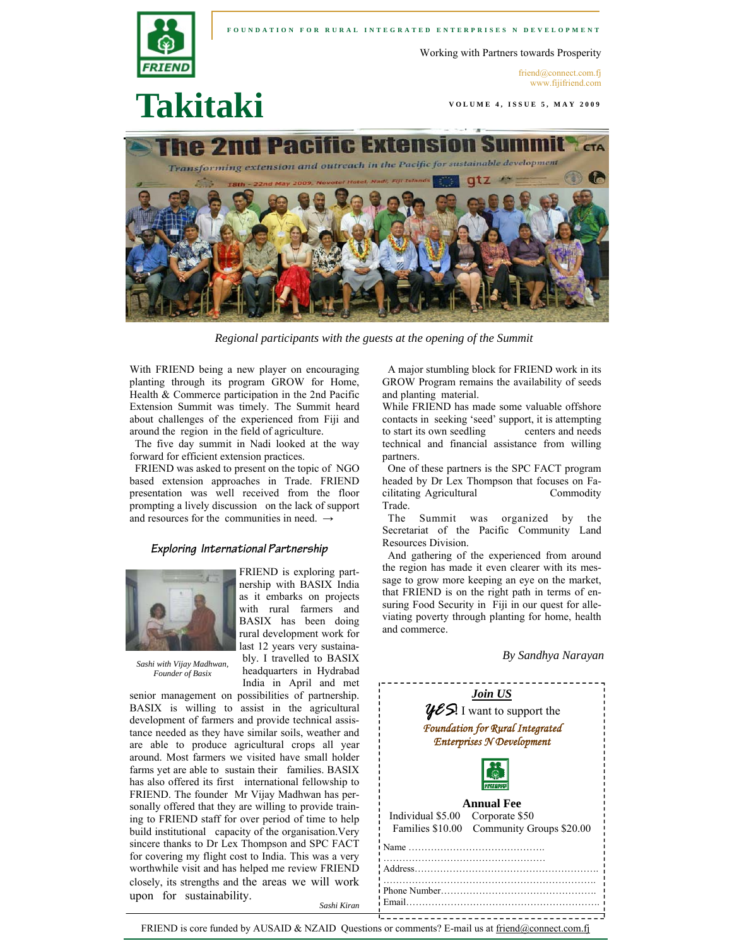

#### **FOUNDATION FOR RURAL INTEGRATED ENTERPRISES N DEVELOPMENT**

Working with Partners towards Prosperity

**VOLUME 4, ISSUE 5, MAY 2009** 

friend@connect.com.fj www.fijifriend.com

# **Takitaki**



*Regional participants with the guests at the opening of the Summit* 

With FRIEND being a new player on encouraging planting through its program GROW for Home, Health & Commerce participation in the 2nd Pacific Extension Summit was timely. The Summit heard about challenges of the experienced from Fiji and around the region in the field of agriculture.

 The five day summit in Nadi looked at the way forward for efficient extension practices.

 FRIEND was asked to present on the topic of NGO based extension approaches in Trade. FRIEND presentation was well received from the floor prompting a lively discussion on the lack of support and resources for the communities in need.  $\rightarrow$ 

### **Exploring International Partnership**

FRIEND is exploring partnership with BASIX India as it embarks on projects with rural farmers and BASIX has been doing rural development work for



*Sashi with Vijay Madhwan, Founder of Basix* 

upon for sustainability.

last 12 years very sustainably. I travelled to BASIX headquarters in Hydrabad India in April and met senior management on possibilities of partnership. BASIX is willing to assist in the agricultural development of farmers and provide technical assistance needed as they have similar soils, weather and are able to produce agricultural crops all year around. Most farmers we visited have small holder farms yet are able to sustain their families. BASIX has also offered its first international fellowship to FRIEND. The founder Mr Vijay Madhwan has personally offered that they are willing to provide training to FRIEND staff for over period of time to help build institutional capacity of the organisation.Very sincere thanks to Dr Lex Thompson and SPC FACT

for covering my flight cost to India. This was a very worthwhile visit and has helped me review FRIEND closely, its strengths and the areas we will work

 A major stumbling block for FRIEND work in its GROW Program remains the availability of seeds and planting material.

While FRIEND has made some valuable offshore contacts in seeking 'seed' support, it is attempting to start its own seedling centers and needs technical and financial assistance from willing partners.

 One of these partners is the SPC FACT program headed by Dr Lex Thompson that focuses on Facilitating Agricultural Commodity Trade.

 The Summit was organized by the Secretariat of the Pacific Community Land Resources Division.

 And gathering of the experienced from around the region has made it even clearer with its message to grow more keeping an eye on the market, that FRIEND is on the right path in terms of ensuring Food Security in Fiji in our quest for alleviating poverty through planting for home, health and commerce.

*By Sandhya Narayan* 



FRIEND is core funded by AUSAID & NZAID Questions or comments? E-mail us at friend@connect.com.fj

*Sashi Kiran*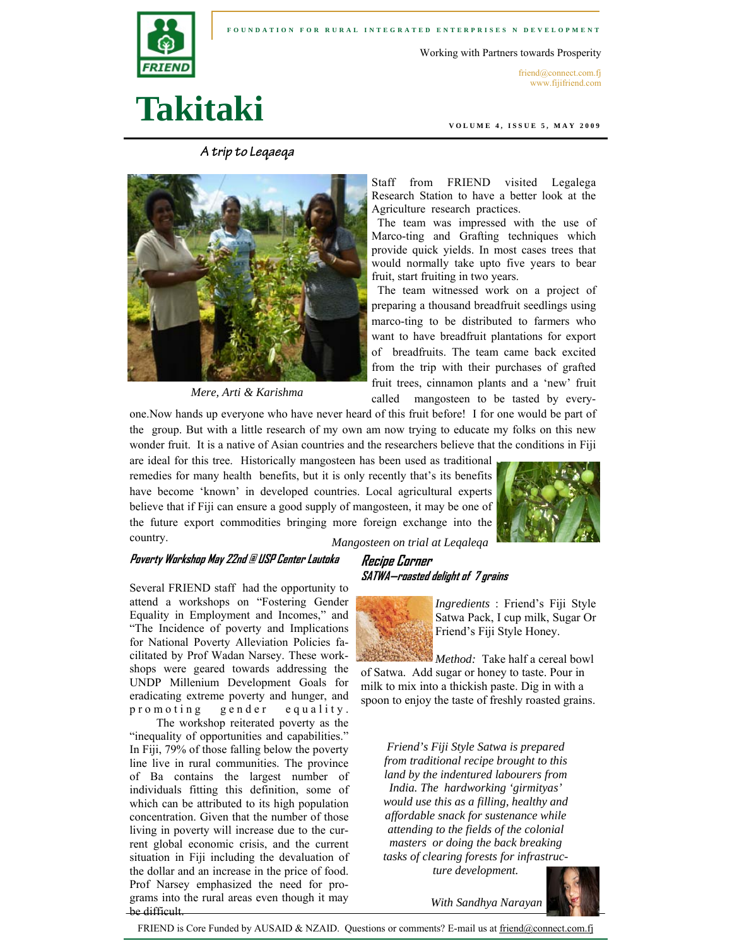

**FOUNDATION FOR RURAL INTEGRATED ENTERPRISES N DEVELOPMENT** 

Working with Partners towards Prosperity

friend@connect.com.fj www.fijifriend.com

# **Takitaki**

**A trip to Leqaeqa** 



*Mere, Arti & Karishma* 

**VOLUME 4, ISSUE 5, MAY 2009** 

Staff from FRIEND visited Legalega Research Station to have a better look at the Agriculture research practices.

 The team was impressed with the use of Marco-ting and Grafting techniques which provide quick yields. In most cases trees that would normally take upto five years to bear fruit, start fruiting in two years.

 The team witnessed work on a project of preparing a thousand breadfruit seedlings using marco-ting to be distributed to farmers who want to have breadfruit plantations for export of breadfruits. The team came back excited from the trip with their purchases of grafted fruit trees, cinnamon plants and a 'new' fruit called mangosteen to be tasted by every-

one.Now hands up everyone who have never heard of this fruit before! I for one would be part of the group. But with a little research of my own am now trying to educate my folks on this new wonder fruit. It is a native of Asian countries and the researchers believe that the conditions in Fiji

are ideal for this tree. Historically mangosteen has been used as traditional remedies for many health benefits, but it is only recently that's its benefits have become 'known' in developed countries. Local agricultural experts believe that if Fiji can ensure a good supply of mangosteen, it may be one of the future export commodities bringing more foreign exchange into the country.



*Mangosteen on trial at Leqaleqa* 

## **Poverty Workshop May 22nd @ USP Center Lautoka Recipe Corner**

Several FRIEND staff had the opportunity to attend a workshops on "Fostering Gender Equality in Employment and Incomes," and "The Incidence of poverty and Implications for National Poverty Alleviation Policies facilitated by Prof Wadan Narsey. These workshops were geared towards addressing the UNDP Millenium Development Goals for eradicating extreme poverty and hunger, and p r o m o t i n g g e n d e r e quality.

. The workshop reiterated poverty as the "inequality of opportunities and capabilities." In Fiji, 79% of those falling below the poverty line live in rural communities. The province of Ba contains the largest number of individuals fitting this definition, some of which can be attributed to its high population concentration. Given that the number of those living in poverty will increase due to the current global economic crisis, and the current situation in Fiji including the devaluation of the dollar and an increase in the price of food. Prof Narsey emphasized the need for programs into the rural areas even though it may be difficult.

# **SATWA—roasted delight of 7 grains**



*Ingredients* : Friend's Fiji Style Satwa Pack, I cup milk, Sugar Or Friend's Fiji Style Honey.

*Method:* Take half a cereal bowl of Satwa. Add sugar or honey to taste. Pour in milk to mix into a thickish paste. Dig in with a spoon to enjoy the taste of freshly roasted grains.

*Friend's Fiji Style Satwa is prepared from traditional recipe brought to this land by the indentured labourers from India. The hardworking 'girmityas' would use this as a filling, healthy and affordable snack for sustenance while attending to the fields of the colonial masters or doing the back breaking tasks of clearing forests for infrastructure development.* 



*With Sandhya Narayan* 

FRIEND is Core Funded by AUSAID & NZAID. Questions or comments? E-mail us at friend@connect.com.fj